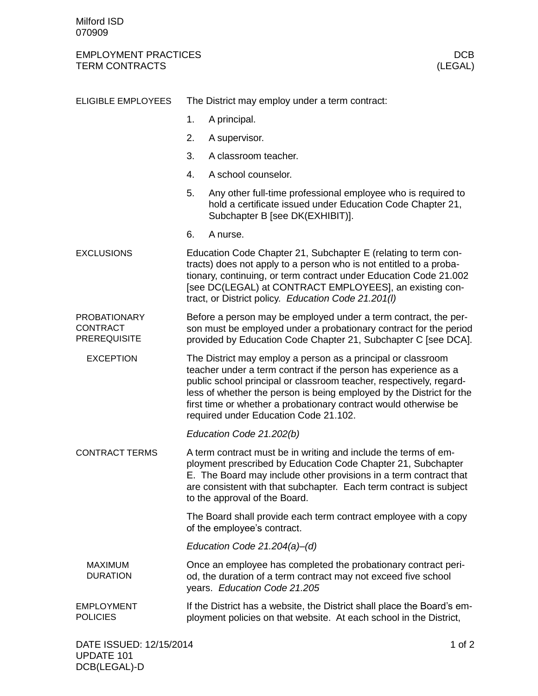## EMPLOYMENT PRACTICES DOB<br>
TERM CONTRACTS (LEGAL) TERM CONTRACTS

| <b>ELIGIBLE EMPLOYEES</b>                                     | The District may employ under a term contract:                                                                                                                                                                                                                                                                                                                                              |                                                                                                                                                                  |
|---------------------------------------------------------------|---------------------------------------------------------------------------------------------------------------------------------------------------------------------------------------------------------------------------------------------------------------------------------------------------------------------------------------------------------------------------------------------|------------------------------------------------------------------------------------------------------------------------------------------------------------------|
|                                                               | 1.                                                                                                                                                                                                                                                                                                                                                                                          | A principal.                                                                                                                                                     |
|                                                               | 2.                                                                                                                                                                                                                                                                                                                                                                                          | A supervisor.                                                                                                                                                    |
|                                                               | 3.                                                                                                                                                                                                                                                                                                                                                                                          | A classroom teacher.                                                                                                                                             |
|                                                               | 4.                                                                                                                                                                                                                                                                                                                                                                                          | A school counselor.                                                                                                                                              |
|                                                               | 5.                                                                                                                                                                                                                                                                                                                                                                                          | Any other full-time professional employee who is required to<br>hold a certificate issued under Education Code Chapter 21,<br>Subchapter B [see DK(EXHIBIT)].    |
|                                                               | 6.                                                                                                                                                                                                                                                                                                                                                                                          | A nurse.                                                                                                                                                         |
| <b>EXCLUSIONS</b>                                             | Education Code Chapter 21, Subchapter E (relating to term con-<br>tracts) does not apply to a person who is not entitled to a proba-<br>tionary, continuing, or term contract under Education Code 21.002<br>[see DC(LEGAL) at CONTRACT EMPLOYEES], an existing con-<br>tract, or District policy. Education Code 21.201(I)                                                                 |                                                                                                                                                                  |
| <b>PROBATIONARY</b><br><b>CONTRACT</b><br><b>PREREQUISITE</b> | Before a person may be employed under a term contract, the per-<br>son must be employed under a probationary contract for the period<br>provided by Education Code Chapter 21, Subchapter C [see DCA].                                                                                                                                                                                      |                                                                                                                                                                  |
| <b>EXCEPTION</b>                                              | The District may employ a person as a principal or classroom<br>teacher under a term contract if the person has experience as a<br>public school principal or classroom teacher, respectively, regard-<br>less of whether the person is being employed by the District for the<br>first time or whether a probationary contract would otherwise be<br>required under Education Code 21.102. |                                                                                                                                                                  |
|                                                               |                                                                                                                                                                                                                                                                                                                                                                                             | Education Code 21.202(b)                                                                                                                                         |
| <b>CONTRACT TERMS</b>                                         | A term contract must be in writing and include the terms of em-<br>ployment prescribed by Education Code Chapter 21, Subchapter<br>E. The Board may include other provisions in a term contract that<br>are consistent with that subchapter. Each term contract is subject<br>to the approval of the Board.                                                                                 |                                                                                                                                                                  |
|                                                               | The Board shall provide each term contract employee with a copy<br>of the employee's contract.                                                                                                                                                                                                                                                                                              |                                                                                                                                                                  |
|                                                               | Education Code $21.204(a)$ -(d)                                                                                                                                                                                                                                                                                                                                                             |                                                                                                                                                                  |
| <b>MAXIMUM</b><br><b>DURATION</b>                             |                                                                                                                                                                                                                                                                                                                                                                                             | Once an employee has completed the probationary contract peri-<br>od, the duration of a term contract may not exceed five school<br>years. Education Code 21.205 |
| <b>EMPLOYMENT</b><br><b>POLICIES</b>                          | If the District has a website, the District shall place the Board's em-<br>ployment policies on that website. At each school in the District,                                                                                                                                                                                                                                               |                                                                                                                                                                  |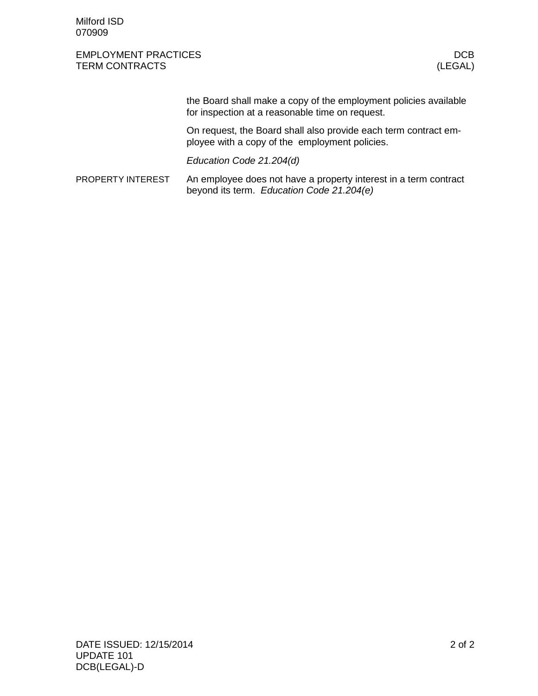Milford ISD 070909

## EMPLOYMENT PRACTICES **EMPLOYMENT** PROTECTIVE SECURE 2012 12:00 DCB TERM CONTRACTS (LEGAL)

the Board shall make a copy of the employment policies available for inspection at a reasonable time on request.

On request, the Board shall also provide each term contract employee with a copy of the employment policies.

Education Code 21.204(d)

An employee does not have a property interest in a term contract beyond its term. Education Code 21.204(e) PROPERTY INTEREST